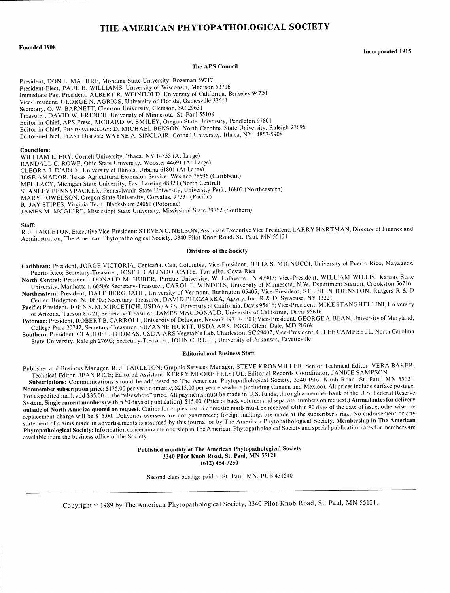# THE **AMERICAN** PHYTOPATHOLOGICAL **SOCIETY**

# **Founded 1908** Incorporated **<sup>1915</sup>**

# The **APS** Council

President, DON E. MATHRE, Montana State University, Bozeman 59717 President-Elect, PAUL H. WILLIAMS, University of Wisconsin, Madison 53706 Immediate Past President, ALBERT R. WEINHOLD, University of California, Berkeley 94720 Vice-President, GEORGE N. AGRIOS, University of Florida, Gainesville 32611 Secretary, **0.** W. BARNETT, Clemson University, Clemson, SC 29631 Treasurer, DAVID W. FRENCH, University of Minnesota, St. Paul 55108 Editor-in-Chief, APS Press, RICHARD W. SMILEY, Oregon State University, Pendleton 97801 Editor-in-Chief, PHYTOPATHOLOGY: D. MICHAEL BENSON, North Carolina State University, Raleigh 27695 Editor-in-Chief, PLANT DISEASE: WAYNE A. SINCLAIR, Cornell University, Ithaca, NY 14853-5908

#### Councilors:

WILLIAM E. FRY, Cornell University, Ithaca, NY 14853 (At Large) RANDALL C. ROWE, Ohio State University, Wooster 44691 (At Large) CLEORA J. D'ARCY, University of Illinois, Urbana 61801 (At Large) JOSE AMADOR, Texas Agricultural Extension Service, Weslaco 78596 (Caribbean) MEL LACY, Michigan State University, East Lansing 48823 (North Central) STANLEY PENNYPACKER, Pennsylvania State University, University Park, 16802 (Northeastern) MARY POWELSON, Oregon State University, Corvallis, 97331 (Pacific) R. JAY STIPES, Virginia Tech, Blacksburg 24061 (Potomac) JAMES M. MCGUIRE, Mississippi State University, Mississippi State 39762 (Southern)

#### Staff:

R. J. TARLETON, Executive Vice-President; STEVEN C. NELSON, Associate Executive Vice President; LARRY HARTMAN, Director of Finance and Administration; The American Phytopathological Society, 3340 Pilot Knob Road, St. Paul, MN 55121

### Divisions of the Society

Caribbean: President, JORGE VICTORIA, Cenicaha, Cali, Colombia; Vice-President, JULIA S. MIGNUCCI, University of Puerto Rico, Mayaguez, Puerto Rico; Secretary-Treasurer, JOSE J. GALINDO, CATIE, Turrialba, Costa Rica

North Central: President, DONALD M. HUBER, Purdue University, W. Lafayette, IN 47907; Vice-President, WILLIAM WILLIS, Kansas State University, Manhattan, 66506; Secretary-Treasurer, CAROL E. WINDELS, University of Minnesota, N.W. Experiment Station, Crookston 56716 Northeastern: President, DALE BERGDAHL, University of Vermont, Burlington 05405; Vice-President, STEPHEN JOHNSTON, Rutgers R & D Center, Bridgeton, NJ 08302; Secretary-Treasurer, DAVID PIECZARKA, Agway, Inc.-R & D, Syracuse, NY 13221

Pacific: President, JOHN S. M. MIRCETICH, USDA/ARS, University of California, Davis 95616; Vice-President, MIKE STANGHELLINI, University of Arizona, Tucson 85721; Secretary-Treasurer, JAMES MACDONALD, University of California, Davis 95616

Potomac: President, ROBERT B. CARROLL, University of Delaware, Newark 19717-1303; Vice-President, GEORGE A. BEAN, University of Maryland, College Park 20742; Secretary-Treasurer, SUZANNE HURTT, USDA-ARS, PGGI, Glenn Dale, MD 20769

Southern: President, CLAUDE E. THOMAS, USDA-ARS Vegetable Lab, Charleston, SC 29407; Vice-President, C. LEE CAMPBELL, North Carolina State University, Raleigh 27695; Secretary-Treasurer, JOHN C. RUPE, University of Arkansas, Fayetteville

# Editorial and Business Staff

Publisher and Business Manager, R. J. TARLETON; Graphic Services Manager, STEVE KRONMILLER; Senior Technical Editor, VERA BAKER; Technical Editor, JEAN RICE; Editorial Assistant, KERRY MOORE FELSTUL; Editorial Records Coordinator, JANICE SAMPSON

Subscriptions: Communications should be addressed to The American Phytopathological Society, 3340 Pilot Knob Road, St. Paul, MN 55121. Nonmember subscription price: \$175.00 per year domestic, \$215.00 per year elsewhere (including Canada and Mexico). All prices include surface postage. For expedited mail, add \$35.00 to the "elsewhere" price. All payments must be made in U.S. funds, through a member bank of the U.S. Federal Reserve System. Single current numbers (within 60 days of publication): \$15.00. (Price of back volumes and separate numbers on request.) Airmail rates for delivery outside of North **America quoted on request.** Claims for copies lost in domestic mails must be received within 90 days of the date of issue; otherwise the replacement charge will be \$15.00. Deliveries overseas are not guaranteed; foreign mailings are made at the subscriber's risk. No endorsement or any statement of claims made in advertisements is assumed by this journal or by The American Phytopathological Society. Membership **in The American Phytopathological** Society: Information concerning membership in The American Phytopathological Society and special publication rates for members are available from the business office of the Society.

> **Published monthly at The American Phytopathological Society 3340 Pilot Knob Road, St. Paul, MN 55121** (612) 454-7250

Second class postage paid at St. Paul, MN. PUB 431540

Copyright © 1989 by The American Phytopathological Society, 3340 Pilot Knob Road, St. Paul, MN 55121.